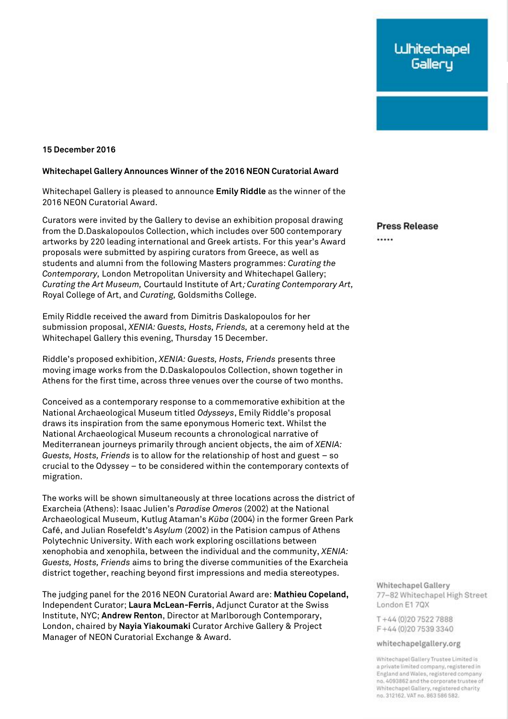## **15 December 2016**

## **Whitechapel Gallery Announces Winner of the 2016 NEON Curatorial Award**

Whitechapel Gallery is pleased to announce **Emily Riddle** as the winner of the 2016 NEON Curatorial Award.

Curators were invited by the Gallery to devise an exhibition proposal drawing from the D.Daskalopoulos Collection, which includes over 500 contemporary artworks by 220 leading international and Greek artists. For this year's Award proposals were submitted by aspiring curators from Greece, as well as students and alumni from the following Masters programmes: *Curating the Contemporary,* London Metropolitan University and Whitechapel Gallery; *Curating the Art Museum,* Courtauld Institute of Art; *Curating Contemporary Art,* Royal College of Art, and *Curating,* Goldsmiths College.

Emily Riddle received the award from Dimitris Daskalopoulos for her submission proposal, *XENIA: Guests, Hosts, Friends,* at a ceremony held at the Whitechapel Gallery this evening, Thursday 15 December.

Riddle's proposed exhibition, *XENIA: Guests, Hosts, Friends* presents three moving image works from the D.Daskalopoulos Collection, shown together in Athens for the first time, across three venues over the course of two months.

Conceived as a contemporary response to a commemorative exhibition at the National Archaeological Museum titled *Odysseys*, Emily Riddle's proposal draws its inspiration from the same eponymous Homeric text. Whilst the National Archaeological Museum recounts a chronological narrative of Mediterranean journeys primarily through ancient objects, the aim of *XENIA: Guests, Hosts, Friends* is to allow for the relationship of host and guest – so crucial to the Odyssey – to be considered within the contemporary contexts of migration.

The works will be shown simultaneously at three locations across the district of Exarcheia (Athens): Isaac Julien's *Paradise Omeros* (2002) at the National Archaeological Museum, Kutlug Ataman's *Küba* (2004) in the former Green Park Café, and Julian Rosefeldt's *Asylum* (2002) in the Patision campus of Athens Polytechnic University. With each work exploring oscillations between xenophobia and xenophila, between the individual and the community, *XENIA: Guests, Hosts, Friends* aims to bring the diverse communities of the Exarcheia district together, reaching beyond first impressions and media stereotypes.

The judging panel for the 2016 NEON Curatorial Award are: **Mathieu Copeland,** Independent Curator; **Laura McLean-Ferris**, Adjunct Curator at the Swiss Institute, NYC; **Andrew Renton**, Director at Marlborough Contemporary, London, chaired by **Nayia Yiakoumaki** Curator Archive Gallery & Project Manager of NEON Curatorial Exchange & Award.

**Press Release** 

.....

Whitechapel Gallery 77-82 Whitechapel High Street London E17QX

T+44 (0) 20 7522 7888 F+44 (0) 20 7539 3340

whitechapelgallery.org

Whitechapel Gallery Trustee Limited is a private limited company, registered in England and Wales, registered company no. 4093862 and the corporate trustee of Whitechapel Gallery, registered charity no. 312162. VAT no. 863 586 582.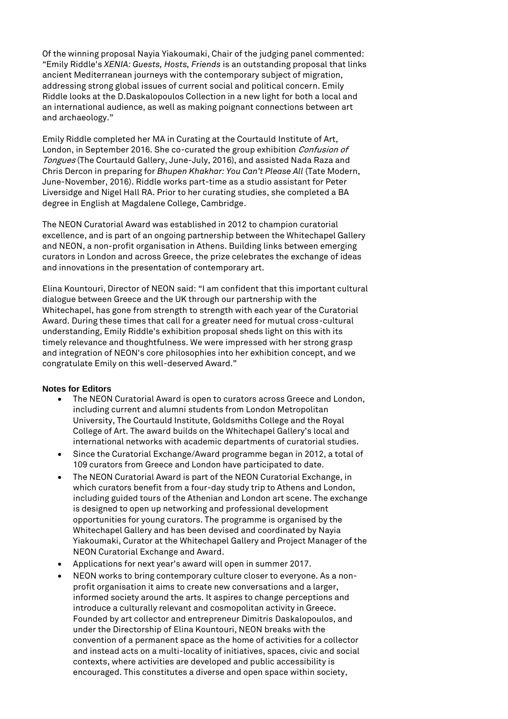Of the winning proposal Nayia Yiakoumaki, Chair of the judging panel commented: "Emily Riddle's *XENIA: Guests, Hosts, Friends* is an outstanding proposal that links ancient Mediterranean journeys with the contemporary subject of migration, addressing strong global issues of current social and political concern. Emily Riddle looks at the D.Daskalopoulos Collection in a new light for both a local and an international audience, as well as making poignant connections between art and archaeology."

Emily Riddle completed her MA in Curating at the Courtauld Institute of Art, London, in September 2016. She co-curated the group exhibition Confusion of Tongues (The Courtauld Gallery, June-July, 2016), and assisted Nada Raza and Chris Dercon in preparing for *Bhupen Khakhar: You Can't Please All* (Tate Modern, June-November, 2016). Riddle works part-time as a studio assistant for Peter Liversidge and Nigel Hall RA. Prior to her curating studies, she completed a BA degree in English at Magdalene College, Cambridge.

The NEON Curatorial Award was established in 2012 to champion curatorial excellence, and is part of an ongoing partnership between the Whitechapel Gallery and NEON, a non-profit organisation in Athens. Building links between emerging curators in London and across Greece, the prize celebrates the exchange of ideas and innovations in the presentation of contemporary art.

Elina Kountouri, Director of NEON said: "I am confident that this important cultural dialogue between Greece and the UK through our partnership with the Whitechapel, has gone from strength to strength with each year of the Curatorial Award. During these times that call for a greater need for mutual cross-cultural understanding, Emily Riddle's exhibition proposal sheds light on this with its timely relevance and thoughtfulness. We were impressed with her strong grasp and integration of NEON's core philosophies into her exhibition concept, and we congratulate Emily on this well-deserved Award."

## **Notes for Editors**

- The NEON Curatorial Award is open to curators across Greece and London, including current and alumni students from London Metropolitan University, The Courtauld Institute, Goldsmiths College and the Royal College of Art. The award builds on the Whitechapel Gallery's local and international networks with academic departments of curatorial studies.
- Since the Curatorial Exchange/Award programme began in 2012, a total of 109 curators from Greece and London have participated to date.
- The NEON Curatorial Award is part of the NEON Curatorial Exchange, in which curators benefit from a four-day study trip to Athens and London, including guided tours of the Athenian and London art scene. The exchange is designed to open up networking and professional development opportunities for young curators. The programme is organised by the Whitechapel Gallery and has been devised and coordinated by Nayia Yiakoumaki, Curator at the Whitechapel Gallery and Project Manager of the NEON Curatorial Exchange and Award.
- Applications for next year's award will open in summer 2017.
- NEON works to bring contemporary culture closer to everyone. As a nonprofit organisation it aims to create new conversations and a larger, informed society around the arts. It aspires to change perceptions and introduce a culturally relevant and cosmopolitan activity in Greece. Founded by art collector and entrepreneur Dimitris Daskalopoulos, and under the Directorship of Elina Kountouri, NEON breaks with the convention of a permanent space as the home of activities for a collector and instead acts on a multi-locality of initiatives, spaces, civic and social contexts, where activities are developed and public accessibility is encouraged. This constitutes a diverse and open space within society,